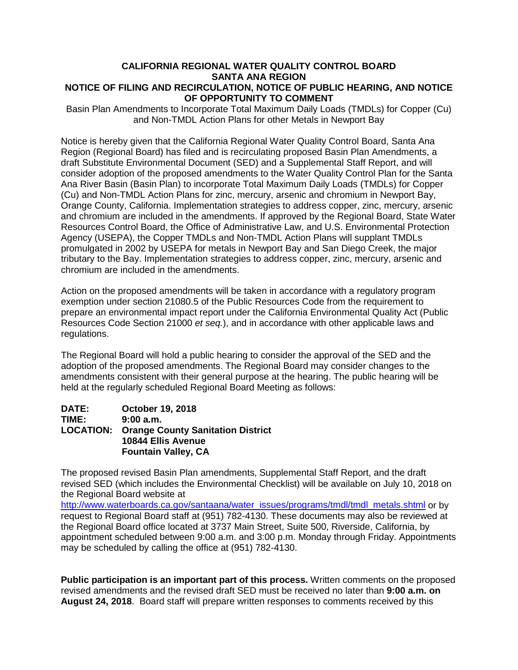## **CALIFORNIA REGIONAL WATER QUALITY CONTROL BOARD SANTA ANA REGION NOTICE OF FILING AND RECIRCULATION, NOTICE OF PUBLIC HEARING, AND NOTICE OF OPPORTUNITY TO COMMENT**

Basin Plan Amendments to Incorporate Total Maximum Daily Loads (TMDLs) for Copper (Cu) and Non-TMDL Action Plans for other Metals in Newport Bay

Notice is hereby given that the California Regional Water Quality Control Board, Santa Ana Region (Regional Board) has filed and is recirculating proposed Basin Plan Amendments, a draft Substitute Environmental Document (SED) and a Supplemental Staff Report, and will consider adoption of the proposed amendments to the Water Quality Control Plan for the Santa Ana River Basin (Basin Plan) to incorporate Total Maximum Daily Loads (TMDLs) for Copper (Cu) and Non-TMDL Action Plans for zinc, mercury, arsenic and chromium in Newport Bay, Orange County, California. Implementation strategies to address copper, zinc, mercury, arsenic and chromium are included in the amendments. If approved by the Regional Board, State Water Resources Control Board, the Office of Administrative Law, and U.S. Environmental Protection Agency (USEPA), the Copper TMDLs and Non-TMDL Action Plans will supplant TMDLs promulgated in 2002 by USEPA for metals in Newport Bay and San Diego Creek, the major tributary to the Bay. Implementation strategies to address copper, zinc, mercury, arsenic and chromium are included in the amendments.

Action on the proposed amendments will be taken in accordance with a regulatory program exemption under section 21080.5 of the Public Resources Code from the requirement to prepare an environmental impact report under the California Environmental Quality Act (Public Resources Code Section 21000 *et seq.*), and in accordance with other applicable laws and regulations.

The Regional Board will hold a public hearing to consider the approval of the SED and the adoption of the proposed amendments. The Regional Board may consider changes to the amendments consistent with their general purpose at the hearing. The public hearing will be held at the regularly scheduled Regional Board Meeting as follows:

## **DATE: October 19, 2018 TIME: 9:00 a.m. LOCATION: Orange County Sanitation District 10844 Ellis Avenue Fountain Valley, CA**

The proposed revised Basin Plan amendments, Supplemental Staff Report, and the draft revised SED (which includes the Environmental Checklist) will be available on July 10, 2018 on the Regional Board website at

[http://www.waterboards.ca.gov/santaana/water\\_issues/programs/tmdl/tmdl\\_metals.shtml](http://www.waterboards.ca.gov/santaana/water_issues/programs/tmdl/tmdl_metals.shtml) or by request to Regional Board staff at (951) 782-4130. These documents may also be reviewed at the Regional Board office located at 3737 Main Street, Suite 500, Riverside, California, by appointment scheduled between 9:00 a.m. and 3:00 p.m. Monday through Friday. Appointments may be scheduled by calling the office at (951) 782-4130.

**Public participation is an important part of this process.** Written comments on the proposed revised amendments and the revised draft SED must be received no later than **9:00 a.m. on August 24, 2018**. Board staff will prepare written responses to comments received by this